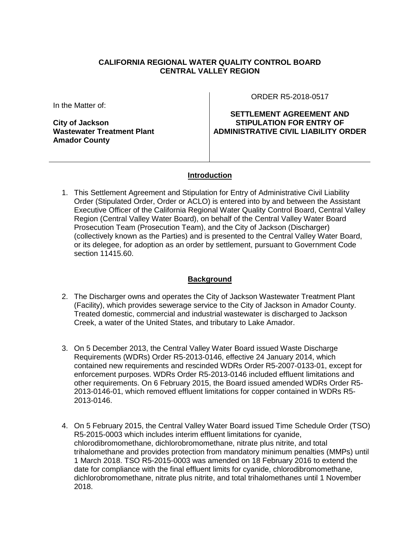### **CALIFORNIA REGIONAL WATER QUALITY CONTROL BOARD CENTRAL VALLEY REGION**

In the Matter of:

**City of Jackson Wastewater Treatment Plant Amador County**

ORDER R5-2018-0517

**SETTLEMENT AGREEMENT AND STIPULATION FOR ENTRY OF ADMINISTRATIVE CIVIL LIABILITY ORDER**

#### **Introduction**

1. This Settlement Agreement and Stipulation for Entry of Administrative Civil Liability Order (Stipulated Order, Order or ACLO) is entered into by and between the Assistant Executive Officer of the California Regional Water Quality Control Board, Central Valley Region (Central Valley Water Board), on behalf of the Central Valley Water Board Prosecution Team (Prosecution Team), and the City of Jackson (Discharger) (collectively known as the Parties) and is presented to the Central Valley Water Board, or its delegee, for adoption as an order by settlement, pursuant to Government Code section 11415.60.

#### **Background**

- 2. The Discharger owns and operates the City of Jackson Wastewater Treatment Plant (Facility), which provides sewerage service to the City of Jackson in Amador County. Treated domestic, commercial and industrial wastewater is discharged to Jackson Creek, a water of the United States, and tributary to Lake Amador.
- 3. On 5 December 2013, the Central Valley Water Board issued Waste Discharge Requirements (WDRs) Order R5-2013-0146, effective 24 January 2014, which contained new requirements and rescinded WDRs Order R5-2007-0133-01, except for enforcement purposes. WDRs Order R5-2013-0146 included effluent limitations and other requirements. On 6 February 2015, the Board issued amended WDRs Order R5- 2013-0146-01, which removed effluent limitations for copper contained in WDRs R5- 2013-0146.
- 4. On 5 February 2015, the Central Valley Water Board issued Time Schedule Order (TSO) R5-2015-0003 which includes interim effluent limitations for cyanide, chlorodibromomethane, dichlorobromomethane, nitrate plus nitrite, and total trihalomethane and provides protection from mandatory minimum penalties (MMPs) until 1 March 2018. TSO R5-2015-0003 was amended on 18 February 2016 to extend the date for compliance with the final effluent limits for cyanide, chlorodibromomethane, dichlorobromomethane, nitrate plus nitrite, and total trihalomethanes until 1 November 2018.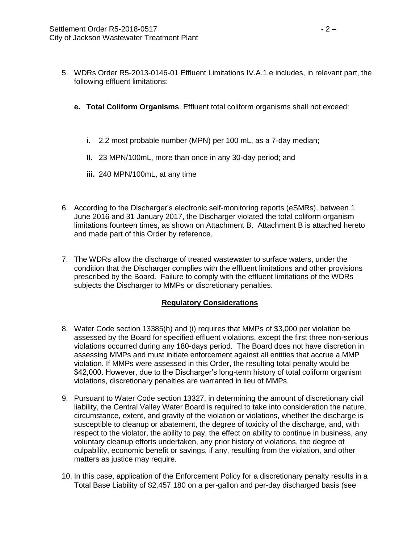- 5. WDRs Order R5-2013-0146-01 Effluent Limitations IV.A.1.e includes, in relevant part, the following effluent limitations:
	- **e. Total Coliform Organisms**. Effluent total coliform organisms shall not exceed:
		- **i.** 2.2 most probable number (MPN) per 100 mL, as a 7-day median;
		- **II.** 23 MPN/100mL, more than once in any 30-day period; and
		- **iii.** 240 MPN/100mL, at any time
- 6. According to the Discharger's electronic self-monitoring reports (eSMRs), between 1 June 2016 and 31 January 2017, the Discharger violated the total coliform organism limitations fourteen times, as shown on Attachment B. Attachment B is attached hereto and made part of this Order by reference.
- 7. The WDRs allow the discharge of treated wastewater to surface waters, under the condition that the Discharger complies with the effluent limitations and other provisions prescribed by the Board. Failure to comply with the effluent limitations of the WDRs subjects the Discharger to MMPs or discretionary penalties.

## **Regulatory Considerations**

- 8. Water Code section 13385(h) and (i) requires that MMPs of \$3,000 per violation be assessed by the Board for specified effluent violations, except the first three non-serious violations occurred during any 180-days period. The Board does not have discretion in assessing MMPs and must initiate enforcement against all entities that accrue a MMP violation. If MMPs were assessed in this Order, the resulting total penalty would be \$42,000. However, due to the Discharger's long-term history of total coliform organism violations, discretionary penalties are warranted in lieu of MMPs.
- 9. Pursuant to Water Code section 13327, in determining the amount of discretionary civil liability, the Central Valley Water Board is required to take into consideration the nature, circumstance, extent, and gravity of the violation or violations, whether the discharge is susceptible to cleanup or abatement, the degree of toxicity of the discharge, and, with respect to the violator, the ability to pay, the effect on ability to continue in business, any voluntary cleanup efforts undertaken, any prior history of violations, the degree of culpability, economic benefit or savings, if any, resulting from the violation, and other matters as justice may require.
- 10. In this case, application of the Enforcement Policy for a discretionary penalty results in a Total Base Liability of \$2,457,180 on a per-gallon and per-day discharged basis (see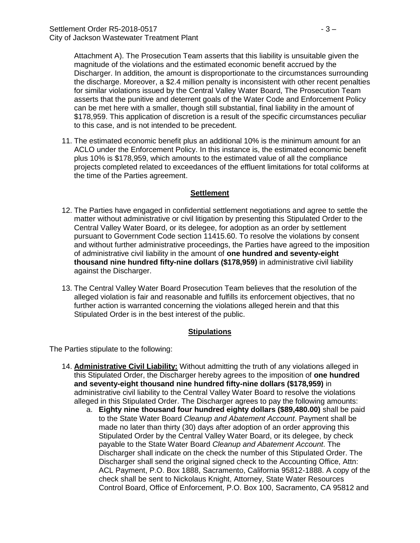Attachment A). The Prosecution Team asserts that this liability is unsuitable given the magnitude of the violations and the estimated economic benefit accrued by the Discharger. In addition, the amount is disproportionate to the circumstances surrounding the discharge. Moreover, a \$2.4 million penalty is inconsistent with other recent penalties for similar violations issued by the Central Valley Water Board, The Prosecution Team asserts that the punitive and deterrent goals of the Water Code and Enforcement Policy can be met here with a smaller, though still substantial, final liability in the amount of \$178,959. This application of discretion is a result of the specific circumstances peculiar to this case, and is not intended to be precedent.

11. The estimated economic benefit plus an additional 10% is the minimum amount for an ACLO under the Enforcement Policy. In this instance is, the estimated economic benefit plus 10% is \$178,959, which amounts to the estimated value of all the compliance projects completed related to exceedances of the effluent limitations for total coliforms at the time of the Parties agreement.

#### **Settlement**

- 12. The Parties have engaged in confidential settlement negotiations and agree to settle the matter without administrative or civil litigation by presenting this Stipulated Order to the Central Valley Water Board, or its delegee, for adoption as an order by settlement pursuant to Government Code section 11415.60. To resolve the violations by consent and without further administrative proceedings, the Parties have agreed to the imposition of administrative civil liability in the amount of **one hundred and seventy-eight thousand nine hundred fifty-nine dollars (\$178,959)** in administrative civil liability against the Discharger.
- 13. The Central Valley Water Board Prosecution Team believes that the resolution of the alleged violation is fair and reasonable and fulfills its enforcement objectives, that no further action is warranted concerning the violations alleged herein and that this Stipulated Order is in the best interest of the public.

#### **Stipulations**

The Parties stipulate to the following:

- 14. **Administrative Civil Liability:** Without admitting the truth of any violations alleged in this Stipulated Order, the Discharger hereby agrees to the imposition of **one hundred and seventy-eight thousand nine hundred fifty-nine dollars (\$178,959)** in administrative civil liability to the Central Valley Water Board to resolve the violations alleged in this Stipulated Order. The Discharger agrees to pay the following amounts:
	- a. **Eighty nine thousand four hundred eighty dollars (\$89,480.00)** shall be paid to the State Water Board *Cleanup and Abatement Account*. Payment shall be made no later than thirty (30) days after adoption of an order approving this Stipulated Order by the Central Valley Water Board, or its delegee, by check payable to the State Water Board *Cleanup and Abatement Account*. The Discharger shall indicate on the check the number of this Stipulated Order. The Discharger shall send the original signed check to the Accounting Office, Attn: ACL Payment, P.O. Box 1888, Sacramento, California 95812-1888. A copy of the check shall be sent to Nickolaus Knight, Attorney, State Water Resources Control Board, Office of Enforcement, P.O. Box 100, Sacramento, CA 95812 and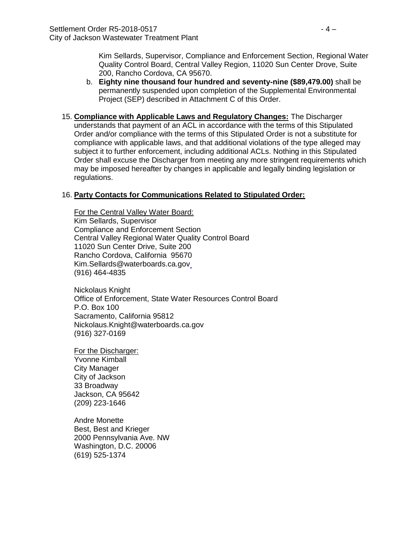Kim Sellards, Supervisor, Compliance and Enforcement Section, Regional Water Quality Control Board, Central Valley Region, 11020 Sun Center Drove, Suite 200, Rancho Cordova, CA 95670.

- b. **Eighty nine thousand four hundred and seventy-nine (\$89,479.00)** shall be permanently suspended upon completion of the Supplemental Environmental Project (SEP) described in Attachment C of this Order.
- 15. **Compliance with Applicable Laws and Regulatory Changes:** The Discharger understands that payment of an ACL in accordance with the terms of this Stipulated Order and/or compliance with the terms of this Stipulated Order is not a substitute for compliance with applicable laws, and that additional violations of the type alleged may subject it to further enforcement, including additional ACLs. Nothing in this Stipulated Order shall excuse the Discharger from meeting any more stringent requirements which may be imposed hereafter by changes in applicable and legally binding legislation or regulations.

#### 16. **Party Contacts for Communications Related to Stipulated Order:**

For the Central Valley Water Board: Kim Sellards, Supervisor Compliance and Enforcement Section Central Valley Regional Water Quality Control Board 11020 Sun Center Drive, Suite 200 Rancho Cordova, California 95670 Kim.Sellards@waterboards.ca.gov (916) 464-4835

Nickolaus Knight Office of Enforcement, State Water Resources Control Board P.O. Box 100 Sacramento, California 95812 Nickolaus.Knight@waterboards.ca.gov (916) 327-0169

For the Discharger: Yvonne Kimball City Manager City of Jackson 33 Broadway Jackson, CA 95642 (209) 223-1646

Andre Monette Best, Best and Krieger 2000 Pennsylvania Ave. NW Washington, D.C. 20006 (619) 525-1374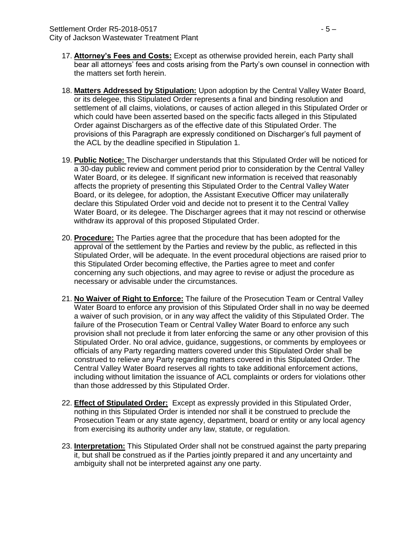- 17. **Attorney's Fees and Costs:** Except as otherwise provided herein, each Party shall bear all attorneys' fees and costs arising from the Party's own counsel in connection with the matters set forth herein.
- 18. **Matters Addressed by Stipulation:** Upon adoption by the Central Valley Water Board, or its delegee, this Stipulated Order represents a final and binding resolution and settlement of all claims, violations, or causes of action alleged in this Stipulated Order or which could have been asserted based on the specific facts alleged in this Stipulated Order against Dischargers as of the effective date of this Stipulated Order. The provisions of this Paragraph are expressly conditioned on Discharger's full payment of the ACL by the deadline specified in Stipulation 1.
- 19. **Public Notice:** The Discharger understands that this Stipulated Order will be noticed for a 30-day public review and comment period prior to consideration by the Central Valley Water Board, or its delegee. If significant new information is received that reasonably affects the propriety of presenting this Stipulated Order to the Central Valley Water Board, or its delegee, for adoption, the Assistant Executive Officer may unilaterally declare this Stipulated Order void and decide not to present it to the Central Valley Water Board, or its delegee. The Discharger agrees that it may not rescind or otherwise withdraw its approval of this proposed Stipulated Order.
- 20. **Procedure:** The Parties agree that the procedure that has been adopted for the approval of the settlement by the Parties and review by the public, as reflected in this Stipulated Order, will be adequate. In the event procedural objections are raised prior to this Stipulated Order becoming effective, the Parties agree to meet and confer concerning any such objections, and may agree to revise or adjust the procedure as necessary or advisable under the circumstances.
- 21. **No Waiver of Right to Enforce:** The failure of the Prosecution Team or Central Valley Water Board to enforce any provision of this Stipulated Order shall in no way be deemed a waiver of such provision, or in any way affect the validity of this Stipulated Order. The failure of the Prosecution Team or Central Valley Water Board to enforce any such provision shall not preclude it from later enforcing the same or any other provision of this Stipulated Order. No oral advice, guidance, suggestions, or comments by employees or officials of any Party regarding matters covered under this Stipulated Order shall be construed to relieve any Party regarding matters covered in this Stipulated Order. The Central Valley Water Board reserves all rights to take additional enforcement actions, including without limitation the issuance of ACL complaints or orders for violations other than those addressed by this Stipulated Order.
- 22. **Effect of Stipulated Order:** Except as expressly provided in this Stipulated Order, nothing in this Stipulated Order is intended nor shall it be construed to preclude the Prosecution Team or any state agency, department, board or entity or any local agency from exercising its authority under any law, statute, or regulation.
- 23. **Interpretation:** This Stipulated Order shall not be construed against the party preparing it, but shall be construed as if the Parties jointly prepared it and any uncertainty and ambiguity shall not be interpreted against any one party.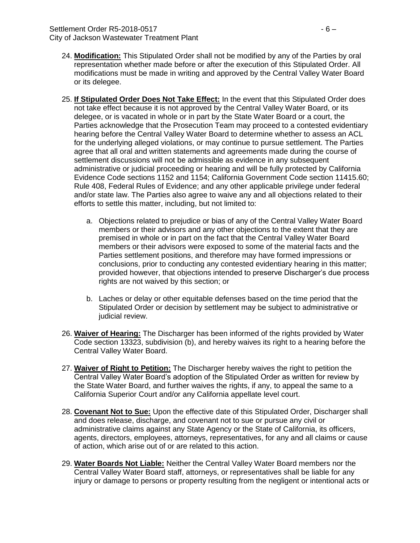## Settlement Order R5-2018-0517 - 6 –

City of Jackson Wastewater Treatment Plant

- 24. **Modification:** This Stipulated Order shall not be modified by any of the Parties by oral representation whether made before or after the execution of this Stipulated Order. All modifications must be made in writing and approved by the Central Valley Water Board or its delegee.
- 25. **If Stipulated Order Does Not Take Effect:** In the event that this Stipulated Order does not take effect because it is not approved by the Central Valley Water Board, or its delegee, or is vacated in whole or in part by the State Water Board or a court, the Parties acknowledge that the Prosecution Team may proceed to a contested evidentiary hearing before the Central Valley Water Board to determine whether to assess an ACL for the underlying alleged violations, or may continue to pursue settlement. The Parties agree that all oral and written statements and agreements made during the course of settlement discussions will not be admissible as evidence in any subsequent administrative or judicial proceeding or hearing and will be fully protected by California Evidence Code sections 1152 and 1154; California Government Code section 11415.60; Rule 408, Federal Rules of Evidence; and any other applicable privilege under federal and/or state law. The Parties also agree to waive any and all objections related to their efforts to settle this matter, including, but not limited to:
	- a. Objections related to prejudice or bias of any of the Central Valley Water Board members or their advisors and any other objections to the extent that they are premised in whole or in part on the fact that the Central Valley Water Board members or their advisors were exposed to some of the material facts and the Parties settlement positions, and therefore may have formed impressions or conclusions, prior to conducting any contested evidentiary hearing in this matter; provided however, that objections intended to preserve Discharger's due process rights are not waived by this section; or
	- b. Laches or delay or other equitable defenses based on the time period that the Stipulated Order or decision by settlement may be subject to administrative or judicial review.
- 26. **Waiver of Hearing:** The Discharger has been informed of the rights provided by Water Code section 13323, subdivision (b), and hereby waives its right to a hearing before the Central Valley Water Board.
- 27. **Waiver of Right to Petition:** The Discharger hereby waives the right to petition the Central Valley Water Board's adoption of the Stipulated Order as written for review by the State Water Board, and further waives the rights, if any, to appeal the same to a California Superior Court and/or any California appellate level court.
- 28. **Covenant Not to Sue:** Upon the effective date of this Stipulated Order, Discharger shall and does release, discharge, and covenant not to sue or pursue any civil or administrative claims against any State Agency or the State of California, its officers, agents, directors, employees, attorneys, representatives, for any and all claims or cause of action, which arise out of or are related to this action.
- 29. **Water Boards Not Liable:** Neither the Central Valley Water Board members nor the Central Valley Water Board staff, attorneys, or representatives shall be liable for any injury or damage to persons or property resulting from the negligent or intentional acts or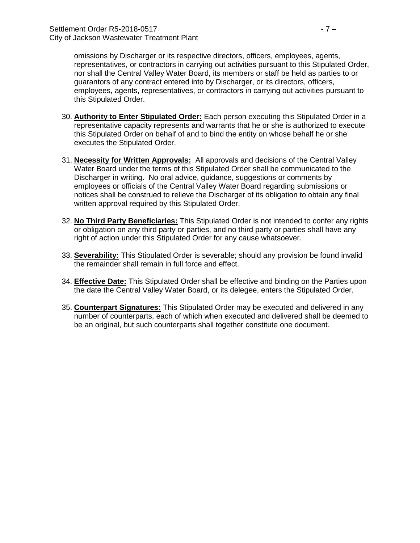omissions by Discharger or its respective directors, officers, employees, agents, representatives, or contractors in carrying out activities pursuant to this Stipulated Order, nor shall the Central Valley Water Board, its members or staff be held as parties to or guarantors of any contract entered into by Discharger, or its directors, officers, employees, agents, representatives, or contractors in carrying out activities pursuant to this Stipulated Order.

- 30. **Authority to Enter Stipulated Order:** Each person executing this Stipulated Order in a representative capacity represents and warrants that he or she is authorized to execute this Stipulated Order on behalf of and to bind the entity on whose behalf he or she executes the Stipulated Order.
- 31. **Necessity for Written Approvals:** All approvals and decisions of the Central Valley Water Board under the terms of this Stipulated Order shall be communicated to the Discharger in writing. No oral advice, guidance, suggestions or comments by employees or officials of the Central Valley Water Board regarding submissions or notices shall be construed to relieve the Discharger of its obligation to obtain any final written approval required by this Stipulated Order.
- 32. **No Third Party Beneficiaries:** This Stipulated Order is not intended to confer any rights or obligation on any third party or parties, and no third party or parties shall have any right of action under this Stipulated Order for any cause whatsoever.
- 33. **Severability:** This Stipulated Order is severable; should any provision be found invalid the remainder shall remain in full force and effect.
- 34. **Effective Date:** This Stipulated Order shall be effective and binding on the Parties upon the date the Central Valley Water Board, or its delegee, enters the Stipulated Order.
- 35. **Counterpart Signatures:** This Stipulated Order may be executed and delivered in any number of counterparts, each of which when executed and delivered shall be deemed to be an original, but such counterparts shall together constitute one document.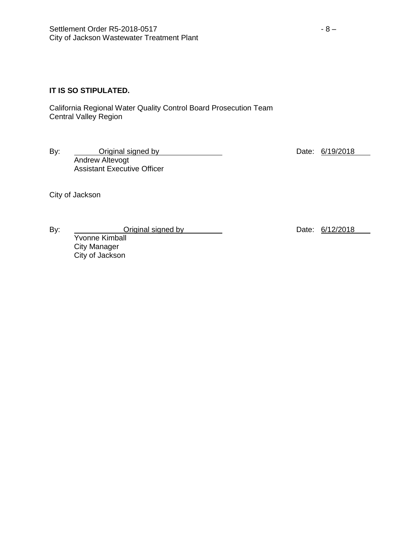# **IT IS SO STIPULATED.**

California Regional Water Quality Control Board Prosecution Team Central Valley Region

By: <u>Original signed by Date: 6/19/2018</u> Andrew Altevogt Assistant Executive Officer

City of Jackson

Yvonne Kimball City Manager City of Jackson

By: Criginal signed by Date: 6/12/2018